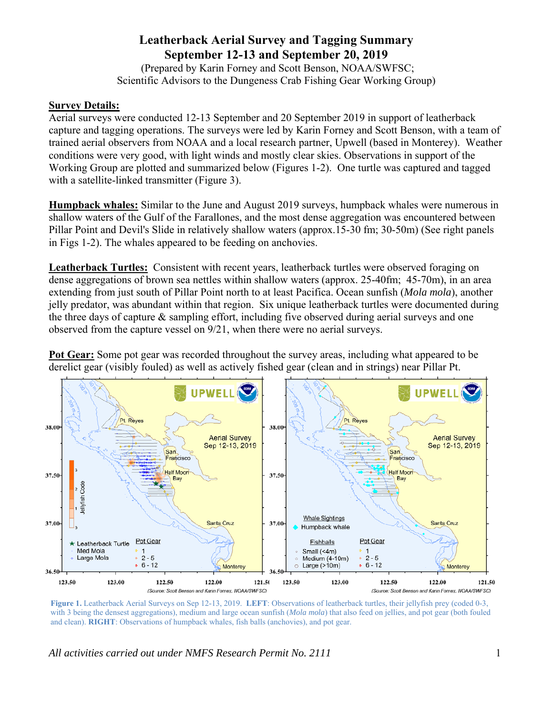## **Leatherback Aerial Survey and Tagging Summary September 12-13 and September 20, 2019**

 (Prepared by Karin Forney and Scott Benson, NOAA/SWFSC; Scientific Advisors to the Dungeness Crab Fishing Gear Working Group)

## **Survey Details:**

Aerial surveys were conducted 12-13 September and 20 September 2019 in support of leatherback capture and tagging operations. The surveys were led by Karin Forney and Scott Benson, with a team of trained aerial observers from NOAA and a local research partner, Upwell (based in Monterey). Weather conditions were very good, with light winds and mostly clear skies. Observations in support of the Working Group are plotted and summarized below (Figures 1-2). One turtle was captured and tagged with a satellite-linked transmitter (Figure 3).

**Humpback whales:** Similar to the June and August 2019 surveys, humpback whales were numerous in shallow waters of the Gulf of the Farallones, and the most dense aggregation was encountered between Pillar Point and Devil's Slide in relatively shallow waters (approx.15-30 fm; 30-50m) (See right panels in Figs 1-2). The whales appeared to be feeding on anchovies.

**Leatherback Turtles:** Consistent with recent years, leatherback turtles were observed foraging on dense aggregations of brown sea nettles within shallow waters (approx. 25-40fm; 45-70m), in an area extending from just south of Pillar Point north to at least Pacifica. Ocean sunfish (*Mola mola*), another jelly predator, was abundant within that region. Six unique leatherback turtles were documented during the three days of capture & sampling effort, including five observed during aerial surveys and one observed from the capture vessel on 9/21, when there were no aerial surveys.

**Pot Gear:** Some pot gear was recorded throughout the survey areas, including what appeared to be derelict gear (visibly fouled) as well as actively fished gear (clean and in strings) near Pillar Pt.



**Figure 1.** Leatherback Aerial Surveys on Sep 12-13, 2019. **LEFT**: Observations of leatherback turtles, their jellyfish prey (coded 0-3, with 3 being the densest aggregations), medium and large ocean sunfish (*Mola mola*) that also feed on jellies, and pot gear (both fouled and clean). **RIGHT**: Observations of humpback whales, fish balls (anchovies), and pot gear.

*All activities carried out under NMFS Research Permit No. 2111* 1